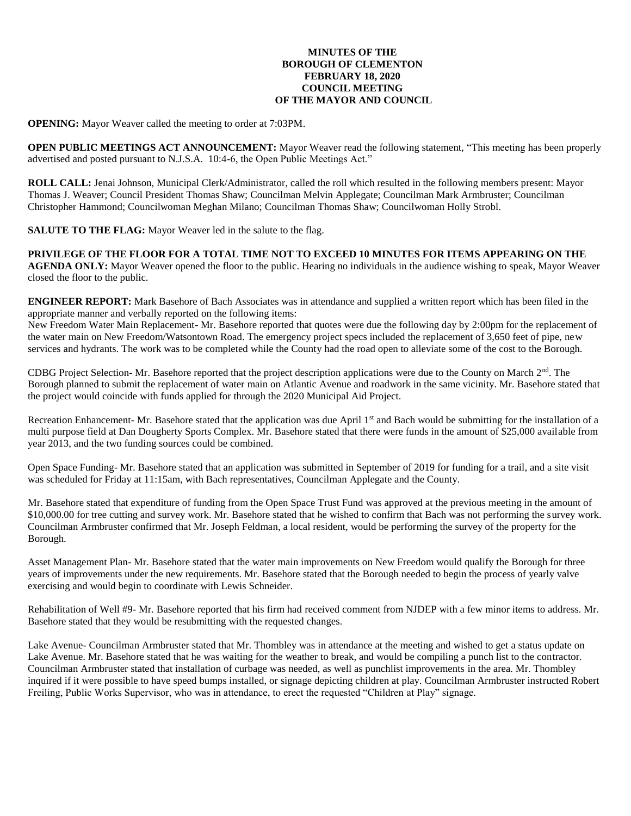#### **MINUTES OF THE BOROUGH OF CLEMENTON FEBRUARY 18, 2020 COUNCIL MEETING OF THE MAYOR AND COUNCIL**

**OPENING:** Mayor Weaver called the meeting to order at 7:03PM.

**OPEN PUBLIC MEETINGS ACT ANNOUNCEMENT:** Mayor Weaver read the following statement, "This meeting has been properly advertised and posted pursuant to N.J.S.A. 10:4-6, the Open Public Meetings Act."

**ROLL CALL:** Jenai Johnson, Municipal Clerk/Administrator, called the roll which resulted in the following members present: Mayor Thomas J. Weaver; Council President Thomas Shaw; Councilman Melvin Applegate; Councilman Mark Armbruster; Councilman Christopher Hammond; Councilwoman Meghan Milano; Councilman Thomas Shaw; Councilwoman Holly Strobl.

**SALUTE TO THE FLAG:** Mayor Weaver led in the salute to the flag.

**PRIVILEGE OF THE FLOOR FOR A TOTAL TIME NOT TO EXCEED 10 MINUTES FOR ITEMS APPEARING ON THE AGENDA ONLY:** Mayor Weaver opened the floor to the public. Hearing no individuals in the audience wishing to speak, Mayor Weaver closed the floor to the public.

**ENGINEER REPORT:** Mark Basehore of Bach Associates was in attendance and supplied a written report which has been filed in the appropriate manner and verbally reported on the following items:

New Freedom Water Main Replacement- Mr. Basehore reported that quotes were due the following day by 2:00pm for the replacement of the water main on New Freedom/Watsontown Road. The emergency project specs included the replacement of 3,650 feet of pipe, new services and hydrants. The work was to be completed while the County had the road open to alleviate some of the cost to the Borough.

CDBG Project Selection- Mr. Basehore reported that the project description applications were due to the County on March 2nd. The Borough planned to submit the replacement of water main on Atlantic Avenue and roadwork in the same vicinity. Mr. Basehore stated that the project would coincide with funds applied for through the 2020 Municipal Aid Project.

Recreation Enhancement- Mr. Basehore stated that the application was due April 1<sup>st</sup> and Bach would be submitting for the installation of a multi purpose field at Dan Dougherty Sports Complex. Mr. Basehore stated that there were funds in the amount of \$25,000 available from year 2013, and the two funding sources could be combined.

Open Space Funding- Mr. Basehore stated that an application was submitted in September of 2019 for funding for a trail, and a site visit was scheduled for Friday at 11:15am, with Bach representatives, Councilman Applegate and the County.

Mr. Basehore stated that expenditure of funding from the Open Space Trust Fund was approved at the previous meeting in the amount of \$10,000.00 for tree cutting and survey work. Mr. Basehore stated that he wished to confirm that Bach was not performing the survey work. Councilman Armbruster confirmed that Mr. Joseph Feldman, a local resident, would be performing the survey of the property for the Borough.

Asset Management Plan- Mr. Basehore stated that the water main improvements on New Freedom would qualify the Borough for three years of improvements under the new requirements. Mr. Basehore stated that the Borough needed to begin the process of yearly valve exercising and would begin to coordinate with Lewis Schneider.

Rehabilitation of Well #9- Mr. Basehore reported that his firm had received comment from NJDEP with a few minor items to address. Mr. Basehore stated that they would be resubmitting with the requested changes.

Lake Avenue- Councilman Armbruster stated that Mr. Thombley was in attendance at the meeting and wished to get a status update on Lake Avenue. Mr. Basehore stated that he was waiting for the weather to break, and would be compiling a punch list to the contractor. Councilman Armbruster stated that installation of curbage was needed, as well as punchlist improvements in the area. Mr. Thombley inquired if it were possible to have speed bumps installed, or signage depicting children at play. Councilman Armbruster instructed Robert Freiling, Public Works Supervisor, who was in attendance, to erect the requested "Children at Play" signage.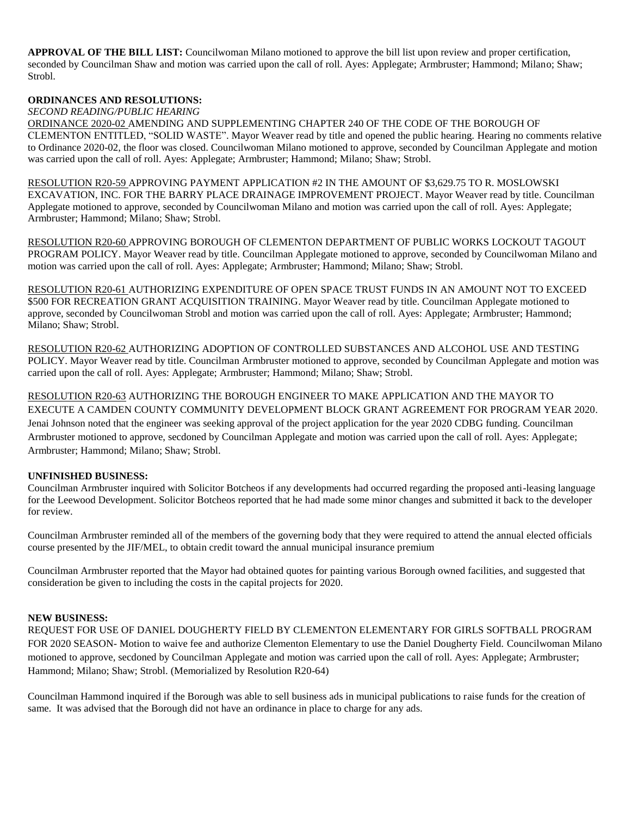**APPROVAL OF THE BILL LIST:** Councilwoman Milano motioned to approve the bill list upon review and proper certification, seconded by Councilman Shaw and motion was carried upon the call of roll. Ayes: Applegate; Armbruster; Hammond; Milano; Shaw; Strobl.

# **ORDINANCES AND RESOLUTIONS:**

*SECOND READING/PUBLIC HEARING*

ORDINANCE 2020-02 AMENDING AND SUPPLEMENTING CHAPTER 240 OF THE CODE OF THE BOROUGH OF CLEMENTON ENTITLED, "SOLID WASTE". Mayor Weaver read by title and opened the public hearing. Hearing no comments relative to Ordinance 2020-02, the floor was closed. Councilwoman Milano motioned to approve, seconded by Councilman Applegate and motion was carried upon the call of roll. Ayes: Applegate; Armbruster; Hammond; Milano; Shaw; Strobl.

RESOLUTION R20-59 APPROVING PAYMENT APPLICATION #2 IN THE AMOUNT OF \$3,629.75 TO R. MOSLOWSKI EXCAVATION, INC. FOR THE BARRY PLACE DRAINAGE IMPROVEMENT PROJECT. Mayor Weaver read by title. Councilman Applegate motioned to approve, seconded by Councilwoman Milano and motion was carried upon the call of roll. Ayes: Applegate; Armbruster; Hammond; Milano; Shaw; Strobl.

RESOLUTION R20-60 APPROVING BOROUGH OF CLEMENTON DEPARTMENT OF PUBLIC WORKS LOCKOUT TAGOUT PROGRAM POLICY. Mayor Weaver read by title. Councilman Applegate motioned to approve, seconded by Councilwoman Milano and motion was carried upon the call of roll. Ayes: Applegate; Armbruster; Hammond; Milano; Shaw; Strobl.

RESOLUTION R20-61 AUTHORIZING EXPENDITURE OF OPEN SPACE TRUST FUNDS IN AN AMOUNT NOT TO EXCEED \$500 FOR RECREATION GRANT ACQUISITION TRAINING. Mayor Weaver read by title. Councilman Applegate motioned to approve, seconded by Councilwoman Strobl and motion was carried upon the call of roll. Ayes: Applegate; Armbruster; Hammond; Milano; Shaw; Strobl.

RESOLUTION R20-62 AUTHORIZING ADOPTION OF CONTROLLED SUBSTANCES AND ALCOHOL USE AND TESTING POLICY. Mayor Weaver read by title. Councilman Armbruster motioned to approve, seconded by Councilman Applegate and motion was carried upon the call of roll. Ayes: Applegate; Armbruster; Hammond; Milano; Shaw; Strobl.

RESOLUTION R20-63 AUTHORIZING THE BOROUGH ENGINEER TO MAKE APPLICATION AND THE MAYOR TO EXECUTE A CAMDEN COUNTY COMMUNITY DEVELOPMENT BLOCK GRANT AGREEMENT FOR PROGRAM YEAR 2020. Jenai Johnson noted that the engineer was seeking approval of the project application for the year 2020 CDBG funding. Councilman Armbruster motioned to approve, secdoned by Councilman Applegate and motion was carried upon the call of roll. Ayes: Applegate; Armbruster; Hammond; Milano; Shaw; Strobl.

# **UNFINISHED BUSINESS:**

Councilman Armbruster inquired with Solicitor Botcheos if any developments had occurred regarding the proposed anti-leasing language for the Leewood Development. Solicitor Botcheos reported that he had made some minor changes and submitted it back to the developer for review.

Councilman Armbruster reminded all of the members of the governing body that they were required to attend the annual elected officials course presented by the JIF/MEL, to obtain credit toward the annual municipal insurance premium

Councilman Armbruster reported that the Mayor had obtained quotes for painting various Borough owned facilities, and suggested that consideration be given to including the costs in the capital projects for 2020.

#### **NEW BUSINESS:**

REQUEST FOR USE OF DANIEL DOUGHERTY FIELD BY CLEMENTON ELEMENTARY FOR GIRLS SOFTBALL PROGRAM FOR 2020 SEASON- Motion to waive fee and authorize Clementon Elementary to use the Daniel Dougherty Field. Councilwoman Milano motioned to approve, secdoned by Councilman Applegate and motion was carried upon the call of roll. Ayes: Applegate; Armbruster; Hammond; Milano; Shaw; Strobl. (Memorialized by Resolution R20-64)

Councilman Hammond inquired if the Borough was able to sell business ads in municipal publications to raise funds for the creation of same. It was advised that the Borough did not have an ordinance in place to charge for any ads.